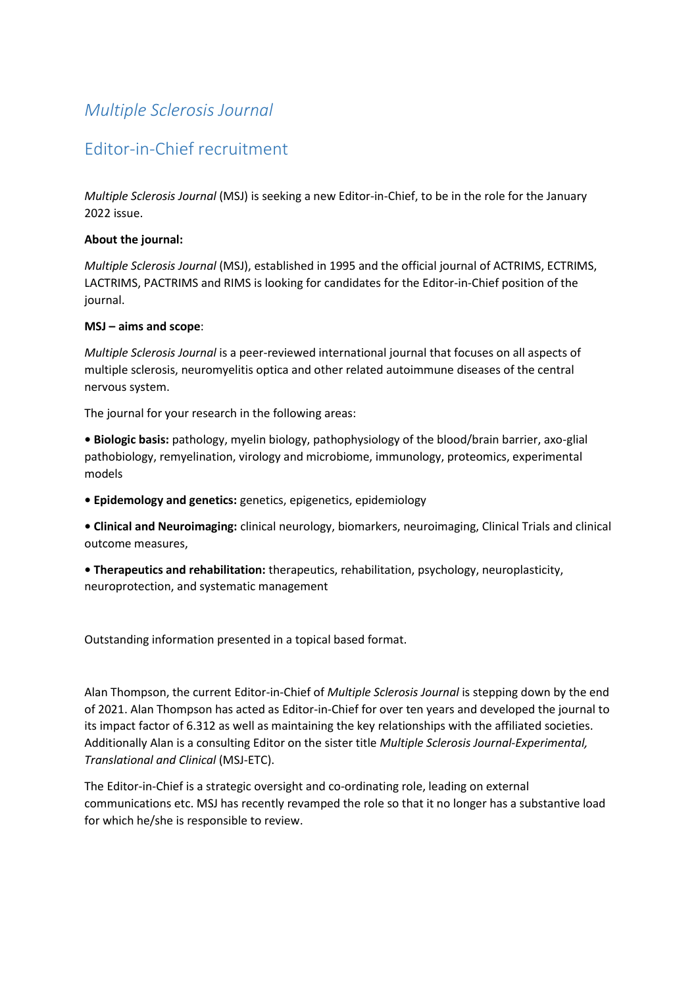# *Multiple Sclerosis Journal*

## Editor-in-Chief recruitment

*Multiple Sclerosis Journal* (MSJ) is seeking a new Editor-in-Chief, to be in the role for the January 2022 issue.

### **About the journal:**

*Multiple Sclerosis Journal* (MSJ), established in 1995 and the official journal of ACTRIMS, ECTRIMS, LACTRIMS, PACTRIMS and RIMS is looking for candidates for the Editor-in-Chief position of the journal.

### **MSJ – aims and scope**:

*Multiple Sclerosis Journal* is a peer-reviewed international journal that focuses on all aspects of multiple sclerosis, neuromyelitis optica and other related autoimmune diseases of the central nervous system.

The journal for your research in the following areas:

**• Biologic basis:** pathology, myelin biology, pathophysiology of the blood/brain barrier, axo-glial pathobiology, remyelination, virology and microbiome, immunology, proteomics, experimental models

**• Epidemology and genetics:** genetics, epigenetics, epidemiology

**• Clinical and Neuroimaging:** clinical neurology, biomarkers, neuroimaging, Clinical Trials and clinical outcome measures,

**• Therapeutics and rehabilitation:** therapeutics, rehabilitation, psychology, neuroplasticity, neuroprotection, and systematic management

Outstanding information presented in a topical based format.

Alan Thompson, the current Editor-in-Chief of *Multiple Sclerosis Journal* is stepping down by the end of 2021. Alan Thompson has acted as Editor-in-Chief for over ten years and developed the journal to its impact factor of 6.312 as well as maintaining the key relationships with the affiliated societies. Additionally Alan is a consulting Editor on the sister title *Multiple Sclerosis Journal-Experimental, Translational and Clinical* (MSJ-ETC).

The Editor-in-Chief is a strategic oversight and co-ordinating role, leading on external communications etc. MSJ has recently revamped the role so that it no longer has a substantive load for which he/she is responsible to review.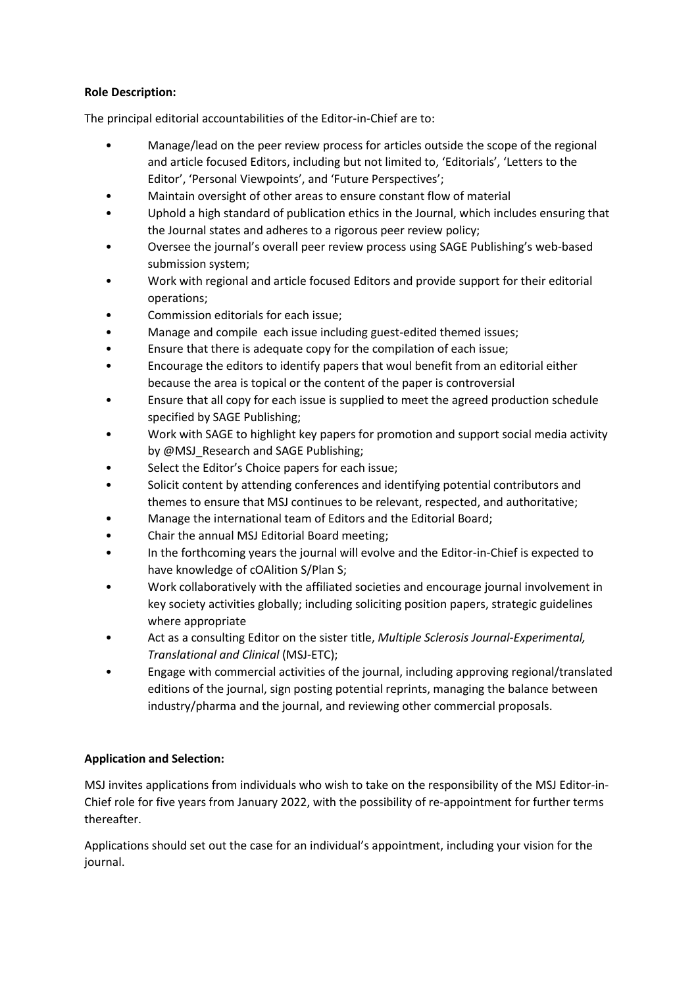## **Role Description:**

The principal editorial accountabilities of the Editor-in-Chief are to:

- Manage/lead on the peer review process for articles outside the scope of the regional and article focused Editors, including but not limited to, 'Editorials', 'Letters to the Editor', 'Personal Viewpoints', and 'Future Perspectives';
- Maintain oversight of other areas to ensure constant flow of material
- Uphold a high standard of publication ethics in the Journal, which includes ensuring that the Journal states and adheres to a rigorous peer review policy;
- Oversee the journal's overall peer review process using SAGE Publishing's web-based submission system;
- Work with regional and article focused Editors and provide support for their editorial operations;
- Commission editorials for each issue;
- Manage and compile each issue including guest-edited themed issues;
- Ensure that there is adequate copy for the compilation of each issue;
- Encourage the editors to identify papers that woul benefit from an editorial either because the area is topical or the content of the paper is controversial
- Ensure that all copy for each issue is supplied to meet the agreed production schedule specified by SAGE Publishing;
- Work with SAGE to highlight key papers for promotion and support social media activity by @MSJ\_Research and SAGE Publishing;
- Select the Editor's Choice papers for each issue;
- Solicit content by attending conferences and identifying potential contributors and themes to ensure that MSJ continues to be relevant, respected, and authoritative;
- Manage the international team of Editors and the Editorial Board;
- Chair the annual MSJ Editorial Board meeting;
- In the forthcoming years the journal will evolve and the Editor-in-Chief is expected to have knowledge of cOAlition S/Plan S;
- Work collaboratively with the affiliated societies and encourage journal involvement in key society activities globally; including soliciting position papers, strategic guidelines where appropriate
- Act as a consulting Editor on the sister title, *Multiple Sclerosis Journal-Experimental, Translational and Clinical* (MSJ-ETC);
- Engage with commercial activities of the journal, including approving regional/translated editions of the journal, sign posting potential reprints, managing the balance between industry/pharma and the journal, and reviewing other commercial proposals.

## **Application and Selection:**

MSJ invites applications from individuals who wish to take on the responsibility of the MSJ Editor-in-Chief role for five years from January 2022, with the possibility of re-appointment for further terms thereafter.

Applications should set out the case for an individual's appointment, including your vision for the journal.